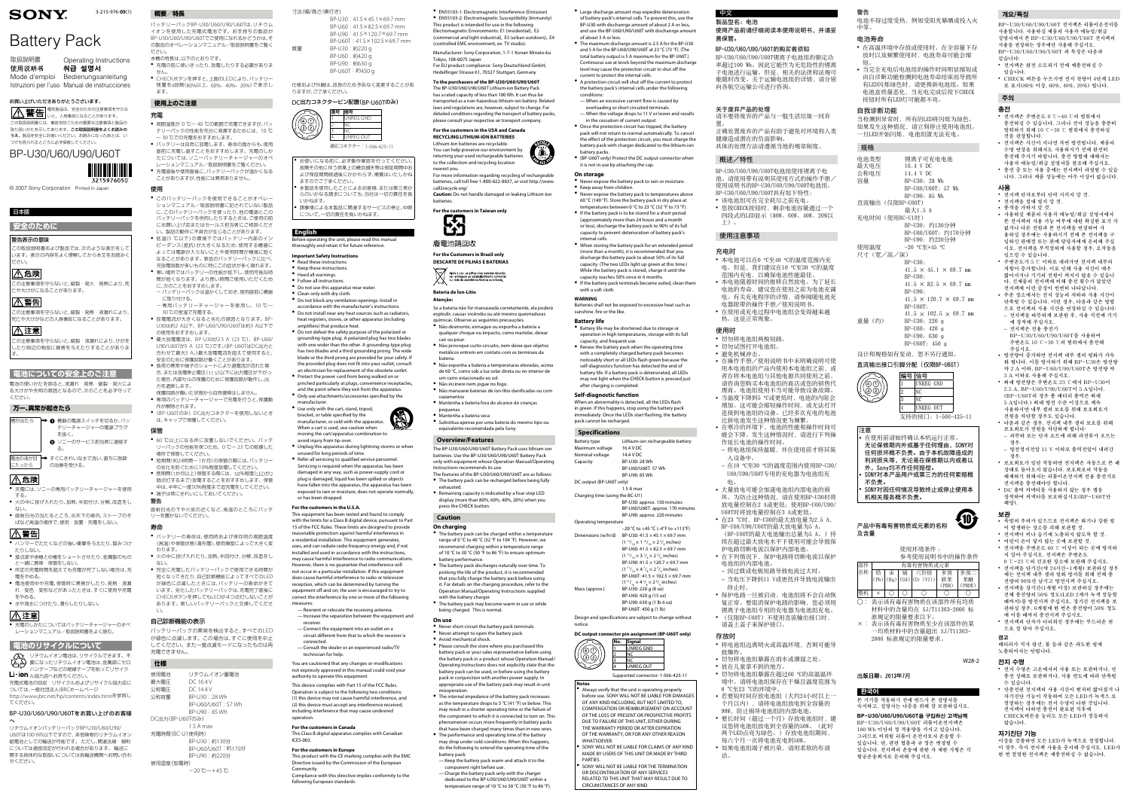#### 寸法(幅/高さ/奥行き)

|    | BP-U30: 41.5×45.1×69.7 mm   |
|----|-----------------------------|
|    | BP-U60: 41.5×82.5×69.7 mm   |
|    | BP-U90: 41.5×120.7×69.7 mm  |
|    | BP-U60T: 41.5×102.5×69.7 mm |
| 質量 | BP-U30:約220 q               |
|    | BP-U60:約420 g               |
|    | BP-U90:約630 g               |
|    | BP-U60T: 約450 g             |

#### 仕様および外観は、改良のため予告なく変更することがあ りますが、ご了承ください。

#### DC出力コネクターピン配置(BP-U60Tのみ)

- お使いになる前に、必ず動作確認を行ってください。 故障その他に伴う営業上の機会損失等は保証期間中お よび保証期間経過後にかかわらず、補償はいたしかね ますのでご了承ください。
- 本製品を使用したことによるお客様、または第三者か らのいかなる請求についても、当社は一切の責任を負 いかねます。
- 諸事情による本製品に関連するサービスの停止、中断 について、一切の責任を負いかねます。



#### Before operating the unit, please read this manual thoroughly and retain it for future reference.

#### **Important Safety Instructions**

- ˎˎ Read these instructions. ˎˎ Keep these instructions.
- Heed all warnings

**English**

- Follow all instructions ˎˎ Do not use this apparatus near water.
- Clean only with dry cloth.
- ˎˎ Do not block any ventilation openings. Install in accordance with the manufacturer's instructions.
- ˎˎ Do not install near any heat sources such as radiators, heat registers, stoves, or other apparatus (including
- amplifiers) that produce heat. ˎˎ Do not defeat the safety purpose of the polarized or grounding-type plug. A polarized plug has two blades with one wider than the other. A grounding-type plug has two blades and a third grounding prong. The wide blade or the third prong are provided for your safety. If the provided plug does not fit into your outlet, consult
- an electrician for replacement of the obsolete outlet. Protect the power cord from being walked on or pinched particularly at plugs, convenience receptacles,
- and the point where they exit from the apparatus. ˎˎ Only use attachments/accessories specified by the
- manufacturer. ˎˎ Use only with the cart, stand, tripod, bracket, or table specified by the
- manufacturer, or sold with the apparatus. When a cart is used, use caution when moving the cart/apparatus combination to
- avoid injury from tip-over. ˎˎ Unplug this apparatus during lightning storms or when
- unused for long periods of time. ˎˎ Refer all servicing to qualified service personnel. Servicing is required when the apparatus has been damaged in any way, such as power-supply cord or plug is damaged, liquid has been spilled or objects have fallen into the apparatus, the apparatus has been exposed to rain or moisture, does not operate normally, or has been dropped.

#### **For the customers in the U.S.A.**

This equipment has been tested and found to comply with the limits for a Class B digital device, pursuant to Part 15 of the FCC Rules. These limits are designed to provide reasonable protection against harmful interference in a residential installation. This equipment generates, uses, and can radiate radio frequency energy and, if not installed and used in accordance with the instructions, may cause harmful interference to radio communications. However, there is no guarantee that interference will not occur in a particular installation. If this equipment does cause harmful interference to radio or television reception, which can be determined by turning the equipment off and on, the user is encouraged to try to correct the interference by one or more of the following measures:

- —Reorient or relocate the receiving antenna. —Increase the separation between the equipment and
- receiver. —Connect the equipment into an outlet on a

circuit different from that to which the receiver is

connected.

—Consult the dealer or an experienced radio/TV

technician for help.

You are cautioned that any changes or modifications not expressly approved in this manual could void your

authority to operate this equipment.

This device complies with Part 15 of the FCC Rules. Operation is subject to the following two conditions: (1) this device may not cause harmful interference, and (2) this device must accept any interference received, including interference that may cause undesired

operation.

**For the customers in Canada**

This Class B digital apparatus complies with Canadian

ICES-003.

**Community** 

**For the customers in Europe**

This product with the CE marking complies with the EMC Directive issued by the Commission of the European

Compliance with this directive implies conformity to the

following European standards:

• The internal impedance of the battery pack increases as the temperature drops to 5 °C (41 °F) or below. This may result in a shorter operating time or the failure of the component to which it is connected to turn on. This phenomenon occurs more frequently in battery packs that have been charged many times than in new ones. • The performance and operating time of the battery may drop under cold conditions. When this happens, do the following to extend the operating time of the

ˎˎ EN55103-1: Electromagnetic Interference (Emission) ˎˎ EN55103-2: Electromagnetic Susceptibility (Immunity) This product is intended for use in the following Electromagnetic Environments: E1 (residential), E2 (commercial and light industrial), E3 (urban outdoors), E4

取扱説明書 Operating Instructions 使用说明书

취급 설명서 Mode d'emploi Bedienungsanleitung Istruzioni per l'uso Manual de instrucciones (controlled EMC environment, ex. TV studio).

Manufacturer: Sony Corporation, 1-7-1 Konan Minato-ku

## BP-U30/U60/U90/U60T 3215976050

Tokyo, 108-0075 Japan

この注意事項を守らないと、破裂・発熱・液漏れにより 死亡や大けがなどの人身事故になることがあります。

#### 八注意

- 充電には、ソニーの専用バッテリーチャージャーを使用 する。
- 火の中に投げ入れたり、加熱、半田付け、分解、改造をし ない。
- 直射日光の当たるところ、炎天下の車内、ストーブのそ ばなど高温の場所で、使用・放置・充電をしない。

### ∆警告

- ハンマーでたたくなどの強い衝撃を与えたり、踏みつけ たりしない。 ● 接点部や⊕極と⊖極をショートさせたり、金属製のもの
- と一緒に携帯・保管をしない。 ● 所定の充電時間を超えても充電が完了しない場合は、充
- 電をやめる ● 電池使用中や充電、保管時に異臭がしたり、発熱・液漏
- れ・変色・変形などがあったときは、すぐに使用や充電 をやめる。 ● 水や海水につけたり、濡らしたりしない。

### △注意

For EU product compliance: Sony Deutschland GmbH, Hedelfinger Strasse 61, 70327 Stuttgart, Germany **To the purchasers of the BP-U30/U60/U90/U60T** The BP-U30/U60/U90/U60T Lithium-ion Battery Pack has a rated capacity of less than 100 Wh. It can thus be transported as a non-hazardous lithium-ion battery. Related laws and regulations are, however, subject to change. For detailed conditions regarding the transport of battery packs, please consult your respective air transport company. **For the customers in the USA and Canada RECYCLING LITHIUM-ION BATTERIES** Lithium-Ion batteries are recyclable. You can help preserve our environment by returning your used rechargeable batteries to the collection and recycling location

● 充電のしかたについてはバッテリーチャージャーのオペ レーションマニュアル/取扱説明書をよく読む。

リチウムイオン電池は、リサイクルできます。不 要になったリチウムイオン電池は、金属部にセロ ハンテープなどの絶縁テープを貼ってリサイク Li-ion ル協力店へお持ちください。

- 充電の前に使いきったり、放電したりする必要がありま せん。
- ˎˎ CHECKボタンを押すと、上面のLEDにより、バッテリー 残量を4段階(80%以上、60%、40%、20%)で表示し ます。

nearest you.

For more information regarding recycling of rechargeable batteries, call toll free 1-800-822-8837, or visit http://www.

- 周囲温度が 0 ℃~40 ℃の範囲で充電できますが、バッ テリーパックの性能を充分に発揮するためには、10 ℃ ~ 30 ℃での充電をおすすめします。 ● バッテリーは自然に放電します。寿命の面からも、使用
- 直前に充電し直すことをおすすめします。充電のしか たについては、ソニーバッテリーチャージャーのオペ レーションマニュアル/取扱説明書をご覧ください。
- 充電直後や使用直後に、バッテリーパックが温かくなる ことがありますが、性能には異常ありません。

call2recycle.org/

**ES** 

廢電池請回收

**Caution:** Do not handle damaged or leaking Lithium-Ion

batteries.

**For the customers in Taiwan only**

**For the Customers in Brazil only DESCARTE DE PILHAS E BATERIAS**

s pós o uso, as pilhas e/ou baterias deverão<br>er entregues ao estabelecimento comercia

er entregues ao estabelecimento comer<br>u rede de assistência técnica autorizada

**Bateria de Íon-Lítio**

**Atenção:**

Se a bateria não for manuseada corretamente, ela poderá explodir, causar incêndio ou até mesmo queimaduras químicas. Observe as seguintes precauções. ˎˎ Não desmonte, esmague ou exponha a bateria a qualquer choque ou impacto, como martelar, deixar

- このバッテリーパックを使用できることがオペレー ションマニュアル/取扱説明書に記されていない製品 に、このバッテリーパックを使ったり、他の電源とこの バッテリーパックを併用したりするときは、ご使用の前 にお買い上げ店またはセールス担当者にご相談くださ い。製品の動作に不具合が生じることがあります。
- 低温(5 ℃以下)の環境下ではバッテリー内部のイン ピーダンス(抵抗)が大きくなるため、使用する機器に よっては電源が入らないことや使用時間が極端に短く なることがあります。新品のバッテリーパックに比べ、 充放電回数が多いものに特にこの症状が多く現れます。
- 寒い場所ではバッテリーの性能が低下し、使用可能な時 間が短くなります。より長い時間ご使用いただくため に、次のことをおすすめします。
- バッテリーパックは温かくしておき、使用直前に機器 に取り付ける。
- 専用バッテリーチャージャーを使用し、10 ℃~ 30 ℃の室温で充電する。
- 放電電流が大きくなると劣化の原因となります。BP-U30は約2 A以下、BP-U60/U90/U60Tは約3 A以下で の使用をおすすめします。
- 最大放電電流は、BP-U30が2.5 A (23 ℃)、BP-U60/ U90/U60Tが5 A (23 ℃)です。(BP-U60TはDC出力と 合わせて最大5 A。)最大放電電流を超えて使用すると、 安全のために保護回路が働くことがあります。
- 負荷の異常や端子のショートにより過電流が流れた場 合、または放電停止電圧(11 V)以下に出力電圧が下がっ た場合、内部セルの保護のために保護回路が動作し、出 力を遮断します。
- 保護回路が働いた状態から自然復帰はしません。 ● 専用のバッテリーチャージャーで充電を行うと、保護動
- 作が解除されます。 ● (BP-U60Tのみ) DC出力コネクターを使用しないとき
- は、キャップで保護してください。

cair ou pisar.

ˎˎ Não provoque curto-circuito, nem deixe que objetos metálicos entrem em contato com os terminais da

- 60 ℃以上になる所に放置しないでください。バッテ リーパックの性能を保つため、0 ℃~ 23 ℃の乾燥した 場所で保管してください。
- 短期間(約24時間~ 1か月)の保管の際には、バッテリー の劣化を防ぐために10%程度放電してください。 ● 長期間(1か月以上)保管する際には、50%程度(LFDが) 個点灯するまで)放電することをおすすめします。保管
- 中は、半年に一度50%程度まで追充電をしてください。 ● 端子は常にきれいにしておいてください。
- 警告
- 直射日光の下や火気の近くなど、高温のところにバッテ リーを置かないでください。

bateria.

ˎˎ Não exponha a bateria a temperaturas elevadas, acima de 60 °C, como sob a luz solar direta ou no interior de

- バッテリーの寿命は、使用時および保存時の周囲温度 (高温)や保管状態(満充電)、使用頻度によって大きく変 わります。
- 火の中に投げ入れたり、加熱、半田付け、分解、改造をし ない。
- 完全に充電したバッテリーパックで使用できる時間が 短くなってきたり、自己診断機能によってすべてのLED が緑色に点滅したときには、バッテリーの寿命がきて います。劣化したバッテリーパックは、充電完了直後に CHECKボタンを押してもLEDが4つ点灯しないことが あります。新しいバッテリーパックと交換してくださ い。

um carro estacionado ao sol. ˎˎ Não incinere nem jogue no fogo.

ˎˎ Não manuseie baterias de íon-lítio danificadas ou com

vazamentos

pequenas

ˎˎ Mantenha a bateria fora do alcance de crianças

ˎˎ Mantenha a bateria seca

ˎˎ Substitua apenas por uma bateria do mesmo tipo ou

equivalente recomendada pela Sony.

**Overview/Features**

Instructions recommends its use

The BP-U30/U60/U90/U60T Battery Pack uses lithium-ion batteries. Use the BP-U30/U60/U90/U60T Battery Pack only with equipment whose Operation Manual/Operating

The features of the BP-U30/U60/U90/U60T are as follows: ˎˎ The battery pack can be recharged before being fully

exhausted.

ˎˎ Remaining capacity is indicated by a four-step LED display (more than 80%, 60%, 40%, 20%) when you

press the CHECK button.

**Caution On charging**

ˎˎ The battery pack can be charged within a temperature range of 0 °C to 40 °C (32 °F to 104 °F). However, we recommend charging within a temperature range of 10 °C to 30 °C (50 °F to 86 °F) to ensure optimum

battery performance.

ˎˎ If the battery pack terminals become soiled, clean them with a soft cloth

ˎˎ The battery pack discharges naturally over time. To prolong the life of the product, it is recommended that you fully charge the battery pack before using it. For details on the charging procedure, refer to the Operation Manual/Operating Instructions supplied

 $^\circ$  The battery pack may become warm in use or while

with the battery charger.

being charged. This is normal.

**On use**

ˎˎ Never short-circuit the battery pack terminals. ˎˎ Never attempt to open the battery pack.

ˎˎ Avoid mechanical shock.

**Specifications** Battery type Lithium-ion rechargeable battery Maximum voltage 16.4 V DC Nominal voltage 14.4 V DC Capacity BP-U30: 28 Wh BP-U60/U60T: 57 Wh BP-U90: 85 Wh DC output (BP-U60T only) 1.5 A ma

ˎˎ Please consult the store where you purchased this battery pack or your sales representative before using the battery pack in a product whose Operation Manual/ Operating Instructions does not explicitly state that the battery pack can be used, or before using the battery pack in conjunction with another power supply. In appropriate use of the battery pack may result in unit

misoperation.

Always verify that the unit is operating properly before use. SONY WILL NOT BE LIABLE FOR DAMAGES OF ANY KIND INCLUDING, BUT NOT LIMITED TO, COMPENSATION OR REIMBURSEMENT ON ACCOUNT OF THE LOSS OF PRESENT OR PROSPECTIVE PROFITS DUE TO FAILURE OF THIS UNIT, EITHER DURING THE WARRANTY PERIOD OR AFTER EXPIRATION OF THE WARRANTY, OR FOR ANY OTHER REASON WHATSOEVER.

SONY WILL NOT BE LIABLE FOR CLAIMS OF ANY KIND MADE BY USERS OF THIS UNIT OR MADE BY THIRD

SONY WILL NOT BE LIABLE FOR THE TERMINATION OR DISCONTINUATION OF ANY SERVICES RELATED TO THIS UNIT THAT MAY RESULT DUE TO CIRCUMSTANCES OF ANY KIND.

battery pack:

—Keep the battery pack warm and attach it to the

component right before use.

—Charge the battery pack only with the charger dedicated to the BP-U30/U60/U90/U60T within a temperature range of 10 °C to 30 °C (50 °F to 86 °F).

- 该电池组可在完全耗尽之前充电。
- 您按CHECK按钮时, 剩余电池容量通过一个 四段式的LED显示(80%、60%、40%、20%以 上)。

3-215-976-**05**(1)

© 2007 Sony Corporation Printed in Japan

- 本电池可以在0 ℃至40 ℃的温度范围内充 电。但是,我们建议在10 °C至30 °C的温度 范围内充电,以确保电池性能最佳。
- 本电池随着时间的推移自然放电。为了延长 电池的寿命,建议您在使用之前为电池充满 电。有关充电程序的详情,请参阅随电池充 电器附带的操作手册/使用说明书。
- 在使用或充电过程中电池组会变得越来越 热。这是正常现象。

## **SONY**

# Battery Pack

#### お買い上げいただきありがとうございます。 電気製品は、安全のための注意事項を守らな いと、人身事故になることがあります。 この取扱説明書には、事故を防ぐための重要な注意事項と製品の

取り扱いかたを示してあります。この取扱説明書をよくお読みの うえ、製品を安全にお使いください。お読みになったあとは、い つでも見られるところに必ず保管してください。

#### 日本語

**安全のために**

#### 警告表示の意味

この取扱説明書および製品では、次のような表示をして います。表示の内容をよく理解してから本文をお読みく ださい。

### $|\triangle$ 危険

この注意事項を守らないと、破裂・発火・発熱により、死 亡や大けがになることがあります。

#### ⚠警告

この注意事項を守らないと、破裂・液漏れにより、けがを したり周辺の物品に損害を与えたりすることがありま す。

- 切勿将电池组两极短路。
- 切勿试图打开电池组。 <sup>ˎ</sup> 避免机械冲击。
- 在操作手册/使用说明书中未明确说明可使 用本电池组的产品内使用本电池组之前,或 者在将本电池组与其他电源共同使用之前, 请咨询您购买本电池组的商店或您的销售代
- 理商。电池组使用不当可能导致设备故障。 ● 当温度下降到5 ℃或更低时, 电池的内阻会 增加。这可能会缩短操作时间,或无法打开 连接到电池组的设备。已经多次充电的电池 比新电池发生这种情况更为频繁。
- 在寒冷的环境下, 电池的性能和操作时间可 能会下降。发生这种情况时,请进行下列操 作延长电池的操作时间。
- − 将电池组保持温暖,并在使用前才将其装 入设备中。
- − 在10 °C至30 °C的温度范围内使用BP-U30/ U60/U90/U60T专用的充电器为电池组充 电。
- 大量放电可能会加速电池组内部电池的损 坏。为防止这种情况,请在使用BP-U30时将 放电量控制在2 A或更低;使用BP-U60/U90/ U60T时将放电量控制在3 A或更低。
- 在23 ℃时, BP-U30的最大放电量为2.5 A, BP-U60/U90/U60T的最大放电量为5 A。 (BP-U60T的最大电池输出总量为5 A。)持 续在超过最大放电水平下使用可能会导致保
- 护电路切断电流以保护内部电池。 • 在下列情况下, 保护电路将切断电流以保护 电池组的内部电池。
- − 因过载或电极短路导致电流过大时。 − 当电压下降到11 V或更低并导致电流输出
- 停止时。 • 保护电路一旦被启动,电池组将不会自动恢
- 复正常。要取消保护电路的影响,您必须用 锂离子电池组专用的充电器为电池组充电。 <sup>ˎ</sup> (仅限BP-U60T)不使用直流输出接口时,
- 请盖上盖子来保护接口。 存放时
- ˎ 将电池组远离明火或高温环境,否则可能导 致爆炸。
- 切勿将电池组暴露在雨水或潮湿之处。
- 放在儿童拿不到的地方
- 切勿将电池组暴露在超过60 ℃的高温温环 境中。请将电池组保存在干燥且温度范围为 0 °C至23 °C的环境中。
- 若要短时间存放电池组(大约24小时以上一 个月以内),请将电池组放电到全容量的 90%,防止损坏电池组的内部电池。
- <sup>ˎ</sup> 要长时间(超过一个月)存放电池组时,建 议您将电池组放电到全容量的50%。(此时 两个LED点亮为绿色。)存放电池组期间, 每六个月一次将电池充电到50%。
- 如果电池组端子被污染,请用柔软的布清 洁。

#### **電池についての安全上のご注意**

電池の使いかたを誤ると、液漏れ・発熱・破裂・発火によ る大けがや失明の原因となるので、次のことを必ず守って ください。

- 在高温环境中存放或使用时、在全容量下存 放时以及频繁使用时,电池寿命可能会缩 短。
- 当完全充电后电池组的操作时间明显缩短或 由自诊断功能检测到电池寿命结束而导致所 有LED闪烁绿色时,请更换新电池组。如果 电池盒质量恶化,当充电完成后按下CHECK 按钮时所有LED灯可能都不亮。

#### **万一、異常が起きたら**



### │<u>八</u> 危険

- 在使用前请始终确认本机运行正常。 无论保修期内外或基于任何理由,SONY对 任何损坏概不负责。由于本机故障造成的 利润损失等,无论是在保修期以内或者以
- 外,Sony均不作任何赔偿。 <sup>ˎ</sup> SONY对本产品用户或第三方的任何索赔概
- 不负责。 <sup>ˎ</sup> SONY对因任何情况导致终止或停止使用本
- 机相关服务概不负责。

### **電池のリサイクルについて**

充電式電池の回収・リサイクルおよびリサイクル協力店に ついては、一般社団法人JBRCホームページ http://www.jbrc.net/hp/contents/index.htmlを参照し てください。

#### BP-U30/U60/U90/U60Tをお買い上げのお客様 へ

リチウムイオンバッテリーパックBP-U30/U60/U90/ U60Tは100 Wh以下ですので、非危険物のリチウムイオン 組電池としての輸送が可能です。 ただし、関連法規・規則 については適宜改定が行われる場合があります。 輸送に 関する具体的な取扱いについては各輸送機関へお問い合わ せください。

### **概要/特長**

バッテリーパックBP-U30/U60/U90/U60Tは、リチウム イオンを使用した充電式電池です。お手持ちの製品が BP-U30/U60/U90/U60Tでご使用になれるかどうかは、そ の製品のオペレーションマニュアル/取扱説明書をご覧く

ださい。 本機の特長は、以下のとおりです。

### **使用上のご注意**

### 充電

### 使用

#### 保管

#### 寿命

#### 自己診断機能の表示

バッテリーパックの異常を検出すると、すべてのLED が緑色に点滅します。この場合は、すぐに使用を中止 してください。また一度点滅モードになったものは再 充電できません。

**仕様**

| 1.LV.X          |                          |
|-----------------|--------------------------|
| 使用電池            | リチウムイオン蓄雷池               |
| 最大電圧            | DC 16.4 V                |
| 公称電圧            | DC 144V                  |
| 公称容量            | BP-U30 : 28 Wh           |
|                 | BP-U60/U60T: 57 Wh       |
|                 | BP-U90:85 Wh             |
| DC出力(BP-U60Tのみ) |                          |
|                 | 1.5 A max                |
| 充電時間(BC-U1使用時)  |                          |
|                 | BP-U30:約130分             |
|                 | BP-U60/U60T:約170分        |
|                 | BP-U90:約220分             |
| 使用温度(放雷時)       |                          |
|                 | $-20$ îC $\sim$ $+45$ îC |
|                 |                          |

ˎˎ Large discharge amount may expedite deterioration of battery pack's internal cells. To prevent this, use the BP-U30 with dischanrge amount of about 2 A or less, and use the BP-U60/U90/U60T with dischanrge amount of about 3 A or less.

ˎˎ The maximum discharge amount is 2.5 A for the BP-U30 and 5 A for the BP-U60/U90/U60T at 23 °C (73 °F). (The total battery output is 5 A maximum for the BP-U60T.) Continuous use at levels beyond the maximum discharge level may cause the protection circuit to shut off the current to protect the internal cells.

ˎˎ A protection circuit will shut off the current to protect the battery pack's internal cells under the following

conditions: —When an excessive current flow is caused by overloading or short circuited terminals. —When the voltage drops to 11 V or lower and results

in the cessation of current output. ˎˎ Once the protection circuit has tripped, the battery pack will not return to normal automatically. To cancel

the effect of the protection circuit, you must charge the battery pack with charger dedicated to the lithium-ion battery packs. ˎˎ (BP-U60T only) Protect the DC output connector when

- 전지팩은 주변온도 0 ℃~40 ℃의 범위에서 충전하실 수 있습니다. 그러나 전지 성능을 충분히 발휘하기 위해 10 ℃~30 ℃ 범위에서 충전하실 것을 권장합니다.
- <sup>ˎ</sup> 전지팩은 시간이 지나면 자연 방전됩니다. 제품의 수명 연장을 위해서도 사용하시기 전에 완전히 충전해 주시기 바랍니다. 충전 방법에 대해서는
- 사용자 매뉴얼/취급 설명서를 참조해 주십시오. • 춘전 준 또는 사용 중에는 전지팬이 과역될 수 있습 니다. 그러나 제품 성능에는 아무 이상이 없습니다.

• 전지팩 단자로부터 단락 시키지 말 것. <sup>ˎ</sup> 전지팩을 절대 열지 말 것.

• 충격을 가하지 말 것.

it is not in use by attaching the cap.

**On storage** • Never expose the battery pack to rain or moisture. ˎˎ Keep away from children.

> • 주변온도가 5 ℃ 이하로 내려가면 전지팩 내부의 저항이 증가합니다. 이로 인해 사용 시간이 매우 짧아지거나 기기의 전원이 켜지지 않을 수 있습니 다. 신제품의 전지팩에 비해 충전 횟수가 많았던 전지팩에 이런 증상이 빈번히 나타납니다. <sup>ˎ</sup> 추운 장소에서는 전지 성능의 저하와 사용 시간이 단축될 수 있습니다. 이런 경우, 다음과 같은 방법 으로 전지팩의 사용 시간을 연장하실 수 있습니다: − 전지팩을 따뜻하게 보관한 후, 사용 직전에 기기

ˎˎ Never expose the battery pack to temperatures above 60 °C (140 °F). Store the battery pack in dry place at temperatures between 0 °C to 23 °C (32 °F to 73 °F). ˎˎ If the battery pack is to be stored for a short period (approximately more than 24 hours and a month or less), discharge the battery pack to 90% of its full capacity to prevent deterioration of battery pack's internal cells.

> • 최대 방전량은 주변온도 23 ℃에서 BP-U30이 2.5 A, BP-U60/U90/U60T이 5 A입니다. (BP-U60T의 경우 총 배터리 출력은 최대 5 A입니다.) 최대 방전 수준 이상으로 계속 사용하시면 내부 셀의 보호를 위해 보호회로가

> • DC 출력 커넥터를 사용하지 않는 경우 캡을 장착하여 커넥터를 보호하십시오(BP-U60T만

이 발생하는 장소를 피해 보관할 것. • 전지팩이 비나 습기에 노출되지 않도록 할 것 • 어린이 손이 닿지 않는 곳에 보관할 것.

ˎˎ When storing the battery pack for an extended period (more than a month), it is recommended that you discharge the battery pack to about 50% of its full capacity. (The two LEDs light up green at this time.) While the battery pack is stored, charge it until the capacity reaches 50% once in 6 months.

**WARNING**

Batteries shall not be exposed to excessive heat such as sunshine. fire or the like.

**Battery life** ˎˎ Battery life may be shortened due to storage or operation in high temperatures, storage with its full

capacity, and frequent use. ˎˎ Renew the battery pack when the operating time with a completely charged battery pack becomes noticeably short or all LEDs flash green because the self-diagnostics function has detected the end of battery life. If a battery pack is deteriorated, all LEDs may not light when the CHECK button is pressed just after charging is completed.

### **Self-diagnostic function**

When an abnormality is detected, all the LEDs flash in green. If this happens, stop using the battery pack immediately. Once the LEDs start flashing, the battery

### pack cannot be recharged.

Charging time (using the BC-U1)

Dimensions (y

Mass (approx

BP-U30: approx. 130 minutes BP-U60/U60T: approx. 170 minutes BP-U90: approx. 220 minutes Operating temperature

|       | $-20$ °C to $+45$ °C ( $-4$ °F to $+113$ °F)                |
|-------|-------------------------------------------------------------|
| v/h/d | BP-U30: $41.5 \times 45.1 \times 69.7$ mm                   |
|       | $(111 /_{16} \times 113 /_{16} \times 23 /_{4}$ inches)     |
|       | $BP-U60: 41.5 \times 82.5 \times 69.7$ mm                   |
|       | $(111)/_{16} \times 311/_{4} \times 23/_{4}$ inches)        |
|       | BP-U90: $41.5 \times 120.7 \times 69.7$ mm                  |
|       | $(111/16 × 47/8 × 23/4 inches)$                             |
|       | BP-U60T: $41.5 \times 102.5 \times 69.7$ mm                 |
|       | $(1^{11}/_{16} \times 4^{1}/_{8} \times 2^{3}/_{4}$ inches) |
|       | BP-U30: 220 g (8 oz)                                        |
|       | BP-U60: 420 g (15 oz)                                       |
|       | BP-U90: 630 g (1 lb 6 oz)                                   |
|       | BP-U60T: 450 g (1 lb)                                       |

Design and specifications are subject to change without

notice.



**Notes**

전지팩이 다하면 충전이 완료된 직후에 CHECK버튼을 눌러도 모든 LED가 점등하지 아기 전단 기능이 되는 것이 되는 것이 되는 것이 되는 것이 되는 것이 되는 것이 되는 것이 되는 것이 되는 것이 되는 것이 되는 것이 되는 것이 되는 것이 되는 것이 되는 것이 되는 것이 되는 것이 되는 것이 되는 것이 되는 것이 되는 것이 되는 것이 되는 것이 되는 것이 되는 것이 되는 것이 되는 것이 되는 것이 되는 것이 되는 것이 되는 것이 되는 것이 되는 것이 되는 것이 되는 것이 되 자기진단 기능 전지팩이 다하면 충전이 완료된 직후에 이상을 검출하면 모든 LED가 녹색으로 점멸합니다. CHECK버튼을 눌러도 모든 LED가 점등하지 이 경우, 즉시 전지팩 사용을 중지해 주십시오. LED가 않습니다. 한 번 점멸한 전지팩은 재충전하실 수 없습니다.

#### $\frac{1}{2}$  기능 등 작용 상품 설명 선물 수 있는 설명 선물 수 있는 설명 山 放 니 <del>別</del> : 2013年7月

PARTIES.

中文 製品型名:电池 使用产品前请仔细阅读本使用说明书,并请妥 善保管。

### BP-U30/U60/U90/U60T的购买者须知

BP-U30/U60/U90/U60T锂离子电池组的额定功 率超过100 Wh。因此它能作为无危险性的锂离 子电池进行运输。但是,相关的法律和法规可 能随时改变。关于运输电池组的详情,请分别 向各航空运输公司进行咨询。

### 关于废弃产品的处理

请不要将废弃的产品与一般生活垃圾一同弃 置。

正确处置废弃的产品有助于避免对环境和人类 健康造成潜在的负面影响。 具体的处理方法请遵循当地的规章制度。

#### 概述/特性

BP-U30/U60/U90/U60T电池组使用锂离子电 池。请使用带有说明其使用方式的操作手册/ 使用说明书的BP-U30/U60/U90/U60T电池组。 BP-U30/U60/U90/U60T具有如下特性:

#### 使用注意事项

#### 充电时

#### 使用时

### 警告

电池不得过度受热,例如受阳光暴晒或投入火 中等。

### 电池寿命

### 自我诊断功能

当检测到异常时,所有的LED将闪烁为绿色。 如果发生这种情况,请立刻停止使用电池组 一旦LED开始闪烁,电池组就无法充电。

### 规格

| 电池类型             | 锂离子可充电电池                           |
|------------------|------------------------------------|
| 最大电压             | 16.4 V DC                          |
| 公称电压             | 14.4 V DC                          |
| 容量               | BP-U30: 28 Wh                      |
|                  | BP-U60/U60T: 57 Wh                 |
|                  | BP-U90: 85 Wh                      |
| 直流输出 (仅限BP-U60T) |                                    |
|                  | 最大1.5 A                            |
| 充电时间 (使用BC-U1时)  |                                    |
|                  | BP-U30: 约130分钟                     |
|                  | BP-U60/U60T: 约170分钟                |
|                  | BP-U90: 约220分钟                     |
| 使用温度             | $-20$ ℃至+45 ℃                      |
| 尺寸 (宽/高/深)       |                                    |
|                  | $BP-U30:$                          |
|                  | $41.5 \times 45.1 \times 69.7$ mm  |
|                  | $BP-U60:$                          |
|                  | $41.5 \times 82.5 \times 69.7$ mm  |
|                  | $BP-U90:$                          |
|                  | $41.5 \times 120.7 \times 69.7$ mm |
|                  | $BP-U60T:$                         |
|                  | $41.5 \times 102.5 \times 69.7$ mm |
|                  |                                    |
| 重量 (约)           | $BP-U30: 220 g$                    |
|                  | $BP-U60: 420 g$                    |
|                  | BP-U90: 630 g                      |

设计和规格如有变动,恕不另行通知。

 $BP-U60T:450$  g



注意



及含量

使用环境条件 : 参考使用说明书中的操作条件

| 部件 | 有毒有害物质或元素 |   |   |                                |       |        |
|----|-----------|---|---|--------------------------------|-------|--------|
| 名称 | 铅         | 汞 | 镉 | 六价铬                            | 多溴    | 多溴二    |
|    |           |   |   | (Pb)   (Hg)   (Cd)   (Cr (VI)) | 联苯    | 苯酥     |
|    |           |   |   |                                | (PBB) | (PBDE) |
| 整机 |           |   |   |                                |       |        |
|    |           |   |   | 表示该有毒有害物质在该部件所有均质              |       |        |

- 材料中的含量均在 SJ/T11363-2006 标 准规定的限量要求以下。
- ×︰ 表示该有毒有害物质至少在该部件的某 一均质材料中的含量超出 SJ/T11363- 2006 标准规定的限量要求。

W28-2

▪ 만충전된 전지팩의 사용 시간이 현저히 짧아졌거 나 자기진단 기능이 작동하여 모든 LED가 녹색으 로 점멸하는 경우에는 전지 수명이 다한 것입니다.

### 개요/특징

BP-U30/U60/U90/U60T 전지팩은 리튬이온전지를 사용합니다. 사용하실 제품의 사용자 매뉴얼/취급 설명서에서 본 BP-U30/U60/U90/U60T 전지팩의 사용을 권장하는 경우에만 사용해 주십시오.

- BP-U30/U60/U90/U60T 의 특징은 다음과
- 같습니다: • 전지팩은 완전 소모되기 전에 재충전하실 수 있습니다.
- CHECK 버튼을 누르시면 전지 잔량이 4단계 LED 로 표시(80% 이상, 60%, 40%, 20%) 됩니다.

#### 주의 충전

### 사용

<sup>ˎ</sup> 사용하실 제품의 사용자 매뉴얼/취급 설명서에서 본 전지팩의 사용 가능 여부에 대한 확실한 표기 가 없거나 다른 전원과 본 전지팩을 연결하여 사 용하실 경우에는 사용하시기 전에 본 전지팩을 구 입하신 판매점 또는 판매 담당자에게 문의해 주십 시오. 전지팩을 부적절하게 사용할 경우, 오작동을

일으킬 수 있습니다.

에 장착해 주십시오. − 전지팩은 전용 충전기

BP-U30/U60/U90/U60T를 사용하여 주변온도 10 ℃~30 ℃의 범위에서 충전해

주십시오.

<sup>ˎ</sup> 방전량이 증가하면 전지팩 내부 셀의 열화가 가속 화 됩니다. 이를 방지하기 위해 BP-U30은 방전량 약 2 A 이하, BP-U60/U90/U60T은 방전량 약

3 A 이하로 사용해 주십시오.

전원을 차단할 경우도 있습니다.

<sup>ˎ</sup> 다음과 같은 경우, 전지팩 내부 셀의 보호를 위해

보호회로가 전원을 차단하게 됩니다:

− 과부하 또는 단자 쇼트에 의해 과전류가 흐르는

경우.

− 방전정지전압 11 V 이하로 출력전압이 내려간

경우.

<sup>ˎ</sup> 보호회로가 일단 작동하면 전지팩은 자동으로 본 래 상태로 돌아오지 않습니다. 보호회로의 작동을 해제하기 위해서는 리튬이온전지팩 전용 충전기로

전지팩을 충전해야만 합니다.

해당). 보관

<sup>ˎ</sup> 폭발의 우려가 있으므로 전지팩은 화기나 강한 열

• 전지팩을 주변온도 60 ℃ 이상이 되는 곳에 방치하

지 말아 주십시오. 전지팩은 주변온도 0 ℃~23 ℃의 건조한 장소에 보관해 주십시오. • 전지팩을 타기가(약 24시간~1개월) 보관하식 경우 에는 전지팩 내부 셀의 열화 방지를 위해 전체 충 전량의 90%만 남기고 방전시켜 주십시오. • 전지팩을 장기간(1개월 이상) 보관하실 경우에는 전체 충전량의 50% 정도(LED 2개가 녹색 점등할 때까지)를 방전시켜 주십시오. 장기간 전지팩을 보 관하실 경우, 6개월에 한 번은 충전량이 50% 정도

에 이를 때까지 충전시켜 주십시오.

<sup>ˎ</sup> 전지팩의 단자가 더러워진 경우에는 부드러운 천

으로 잘 닦아 주십시오.

경고

배터리가 직사 광선, 불 등과 같은 과도한 열에

노출되어서는 안됩니다.

### BP-U30/U60/U90/U60T을 구입하신 고객님께

한국어 DP-U30 USD 리튬이온전지 본 기기를 작동하기 전에 반드시 본 설명서를 숙지하고, 설명서는 나중을 위해 잘 보관하십시오. BP-U30/U60/U90/U60T을 구입하신 고객님께

BP-U30/U60/U90/U60T 리튬이온전지팩은 100 Wh 미만의 정 격용량을 가지고 있습니다. 그러므로 비위험 리튬이 온전지로서 운송할 수 있습니다. 단, 관련 법률과 규 정은 변경될 수 있습니다. 전지팩의 운송에 관한 자 세한 사항은 각 항공운송회사로 문의해 주십시오.

전지 수명

<sup>ˎ</sup> 전지 수명은 고온에서의 사용 또는 보관하거나, 만 충전 상태로 보관하거나, 사용 빈도에 따라 단축될

수 있습니다.

않습니다.